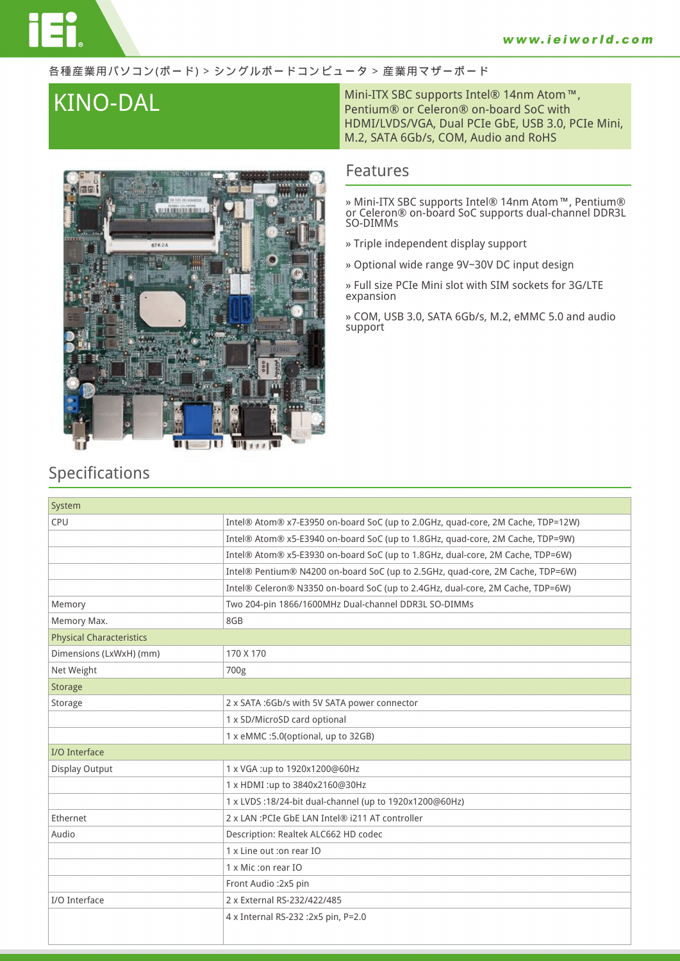### 各種産業用パソコン(ボード) > シングルボードコンピュータ > 産業用マザーボード



**KINO-DAL** Mini-ITX SBC supports Intel® 14nm Atom™,<br>Pentium® or Celeron® on-board SoC with HDMI/LVDS/VGA, Dual PCIe GbE, USB 3.0, PCIe Mini, M.2, SATA 6Gb/s, COM, Audio and RoHS

## **Features**

**» Mini-ITX SBC supports Intel® 14nm Atom™, Pentium® or Celeron® on-board SoC supports dual-channel DDR3L SO-DIMMs**

- **» Triple independent display support**
- **» Optional wide range 9V~30V DC input design**

**» Full size PCIe Mini slot with SIM sockets for 3G/LTE expansion**

**» COM, USB 3.0, SATA 6Gb/s, M.2, eMMC 5.0 and audio support**

## **Specifications**

| System                          |                                                                                 |
|---------------------------------|---------------------------------------------------------------------------------|
| CPU                             | Intel® Atom® x7-E3950 on-board SoC (up to 2.0GHz, quad-core, 2M Cache, TDP=12W) |
|                                 | Intel® Atom® x5-E3940 on-board SoC (up to 1.8GHz, quad-core, 2M Cache, TDP=9W)  |
|                                 | Intel® Atom® x5-E3930 on-board SoC (up to 1.8GHz, dual-core, 2M Cache, TDP=6W)  |
|                                 | Intel® Pentium® N4200 on-board SoC (up to 2.5GHz, quad-core, 2M Cache, TDP=6W)  |
|                                 | Intel® Celeron® N3350 on-board SoC (up to 2.4GHz, dual-core, 2M Cache, TDP=6W)  |
| Memory                          | Two 204-pin 1866/1600MHz Dual-channel DDR3L SO-DIMMs                            |
| Memory Max.                     | 8GB                                                                             |
| <b>Physical Characteristics</b> |                                                                                 |
| Dimensions (LxWxH) (mm)         | 170 X 170                                                                       |
| Net Weight                      | 700g                                                                            |
| <b>Storage</b>                  |                                                                                 |
| Storage                         | 2 x SATA :6Gb/s with 5V SATA power connector                                    |
|                                 | 1 x SD/MicroSD card optional                                                    |
|                                 | 1 x eMMC :5.0(optional, up to 32GB)                                             |
| I/O Interface                   |                                                                                 |
| Display Output                  | 1 x VGA:up to 1920x1200@60Hz                                                    |
|                                 | 1 x HDMI:up to 3840x2160@30Hz                                                   |
|                                 | 1 x LVDS :18/24-bit dual-channel (up to 1920x1200@60Hz)                         |
| <b>Fthernet</b>                 | 2 x LAN : PCIe GbE LAN Intel® i211 AT controller                                |
| Audio                           | Description: Realtek ALC662 HD codec                                            |
|                                 | 1 x Line out : on rear IO                                                       |
|                                 | 1 x Mic : on rear IO                                                            |
|                                 | Front Audio: 2x5 pin                                                            |
| I/O Interface                   | 2 x External RS-232/422/485                                                     |
|                                 | 4 x Internal RS-232 :2x5 pin, P=2.0                                             |
|                                 |                                                                                 |